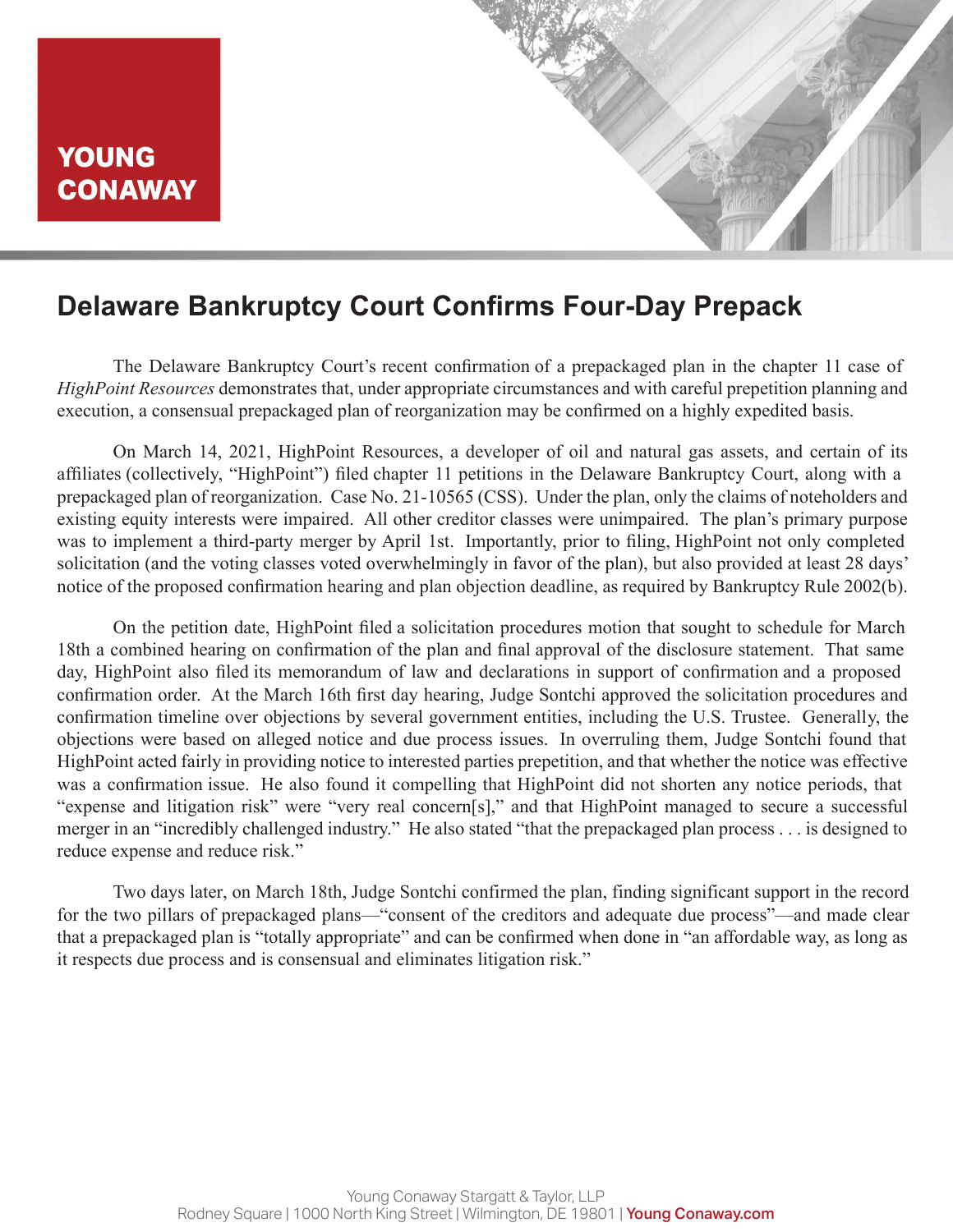## **Delaware Bankruptcy Court Confirms Four-Day Prepack**

The Delaware Bankruptcy Court's recent confirmation of a prepackaged plan in the chapter 11 case of *HighPoint Resources* demonstrates that, under appropriate circumstances and with careful prepetition planning and execution, a consensual prepackaged plan of reorganization may be confirmed on a highly expedited basis.

On March 14, 2021, HighPoint Resources, a developer of oil and natural gas assets, and certain of its affiliates (collectively, "HighPoint") filed chapter 11 petitions in the Delaware Bankruptcy Court, along with a prepackaged plan of reorganization. Case No. 21-10565 (CSS). Under the plan, only the claims of noteholders and existing equity interests were impaired. All other creditor classes were unimpaired. The plan's primary purpose was to implement a third-party merger by April 1st. Importantly, prior to filing, HighPoint not only completed solicitation (and the voting classes voted overwhelmingly in favor of the plan), but also provided at least 28 days' notice of the proposed confirmation hearing and plan objection deadline, as required by Bankruptcy Rule 2002(b).

On the petition date, HighPoint filed a solicitation procedures motion that sought to schedule for March 18th a combined hearing on confirmation of the plan and final approval of the disclosure statement. That same day, HighPoint also filed its memorandum of law and declarations in support of confirmation and a proposed confirmation order. At the March 16th first day hearing, Judge Sontchi approved the solicitation procedures and confirmation timeline over objections by several government entities, including the U.S. Trustee. Generally, the objections were based on alleged notice and due process issues. In overruling them, Judge Sontchi found that HighPoint acted fairly in providing notice to interested parties prepetition, and that whether the notice was effective was a confirmation issue. He also found it compelling that HighPoint did not shorten any notice periods, that "expense and litigation risk" were "very real concern[s]," and that HighPoint managed to secure a successful merger in an "incredibly challenged industry." He also stated "that the prepackaged plan process . . . is designed to reduce expense and reduce risk."

Two days later, on March 18th, Judge Sontchi confirmed the plan, finding significant support in the record for the two pillars of prepackaged plans—"consent of the creditors and adequate due process"—and made clear that a prepackaged plan is "totally appropriate" and can be confirmed when done in "an affordable way, as long as it respects due process and is consensual and eliminates litigation risk."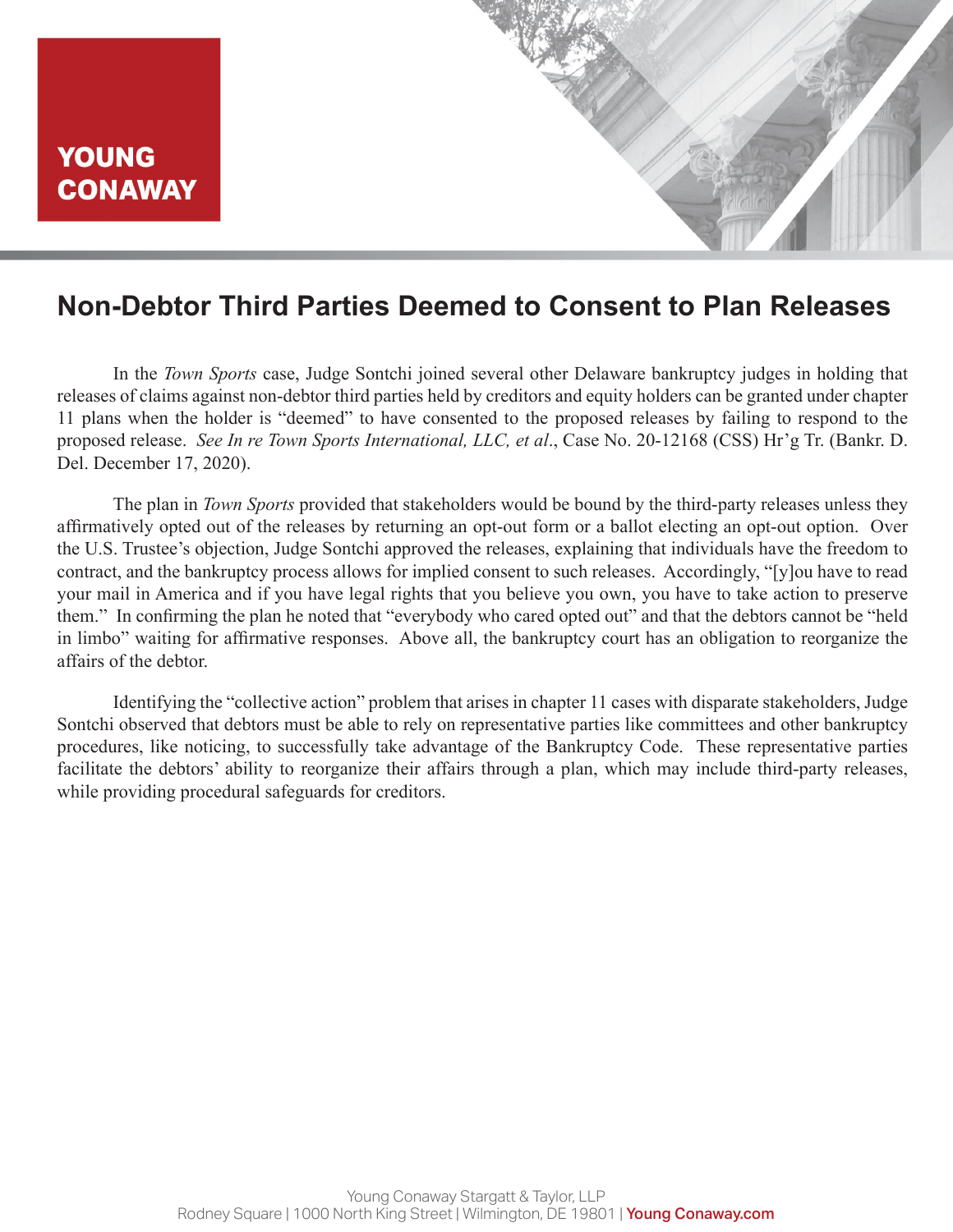### **Non-Debtor Third Parties Deemed to Consent to Plan Releases**

In the *Town Sports* case, Judge Sontchi joined several other Delaware bankruptcy judges in holding that releases of claims against non-debtor third parties held by creditors and equity holders can be granted under chapter 11 plans when the holder is "deemed" to have consented to the proposed releases by failing to respond to the proposed release. *See In re Town Sports International, LLC, et al*., Case No. 20-12168 (CSS) Hr'g Tr. (Bankr. D. Del. December 17, 2020).

The plan in *Town Sports* provided that stakeholders would be bound by the third-party releases unless they affirmatively opted out of the releases by returning an opt-out form or a ballot electing an opt-out option. Over the U.S. Trustee's objection, Judge Sontchi approved the releases, explaining that individuals have the freedom to contract, and the bankruptcy process allows for implied consent to such releases. Accordingly, "[y]ou have to read your mail in America and if you have legal rights that you believe you own, you have to take action to preserve them." In confirming the plan he noted that "everybody who cared opted out" and that the debtors cannot be "held in limbo" waiting for affirmative responses. Above all, the bankruptcy court has an obligation to reorganize the affairs of the debtor.

Identifying the "collective action" problem that arises in chapter 11 cases with disparate stakeholders, Judge Sontchi observed that debtors must be able to rely on representative parties like committees and other bankruptcy procedures, like noticing, to successfully take advantage of the Bankruptcy Code. These representative parties facilitate the debtors' ability to reorganize their affairs through a plan, which may include third-party releases, while providing procedural safeguards for creditors.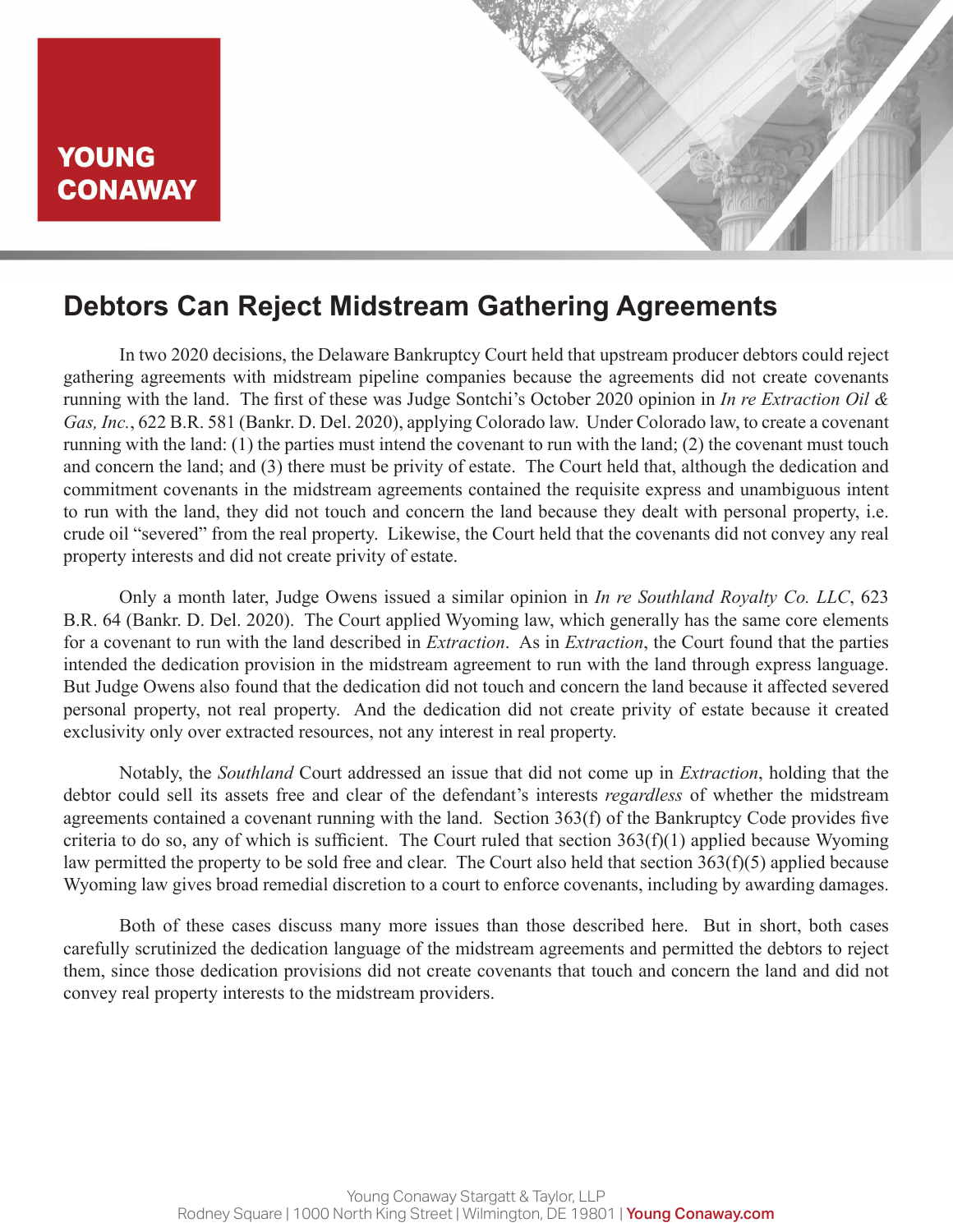### **Debtors Can Reject Midstream Gathering Agreements**

In two 2020 decisions, the Delaware Bankruptcy Court held that upstream producer debtors could reject gathering agreements with midstream pipeline companies because the agreements did not create covenants running with the land. The first of these was Judge Sontchi's October 2020 opinion in *In re Extraction Oil & Gas, Inc.*, 622 B.R. 581 (Bankr. D. Del. 2020), applying Colorado law. Under Colorado law, to create a covenant running with the land: (1) the parties must intend the covenant to run with the land; (2) the covenant must touch and concern the land; and (3) there must be privity of estate. The Court held that, although the dedication and commitment covenants in the midstream agreements contained the requisite express and unambiguous intent to run with the land, they did not touch and concern the land because they dealt with personal property, i.e. crude oil "severed" from the real property. Likewise, the Court held that the covenants did not convey any real property interests and did not create privity of estate.

Only a month later, Judge Owens issued a similar opinion in *In re Southland Royalty Co. LLC*, 623 B.R. 64 (Bankr. D. Del. 2020). The Court applied Wyoming law, which generally has the same core elements for a covenant to run with the land described in *Extraction*. As in *Extraction*, the Court found that the parties intended the dedication provision in the midstream agreement to run with the land through express language. But Judge Owens also found that the dedication did not touch and concern the land because it affected severed personal property, not real property. And the dedication did not create privity of estate because it created exclusivity only over extracted resources, not any interest in real property.

Notably, the *Southland* Court addressed an issue that did not come up in *Extraction*, holding that the debtor could sell its assets free and clear of the defendant's interests *regardless* of whether the midstream agreements contained a covenant running with the land. Section 363(f) of the Bankruptcy Code provides five criteria to do so, any of which is sufficient. The Court ruled that section 363(f)(1) applied because Wyoming law permitted the property to be sold free and clear. The Court also held that section 363(f)(5) applied because Wyoming law gives broad remedial discretion to a court to enforce covenants, including by awarding damages.

Both of these cases discuss many more issues than those described here. But in short, both cases carefully scrutinized the dedication language of the midstream agreements and permitted the debtors to reject them, since those dedication provisions did not create covenants that touch and concern the land and did not convey real property interests to the midstream providers.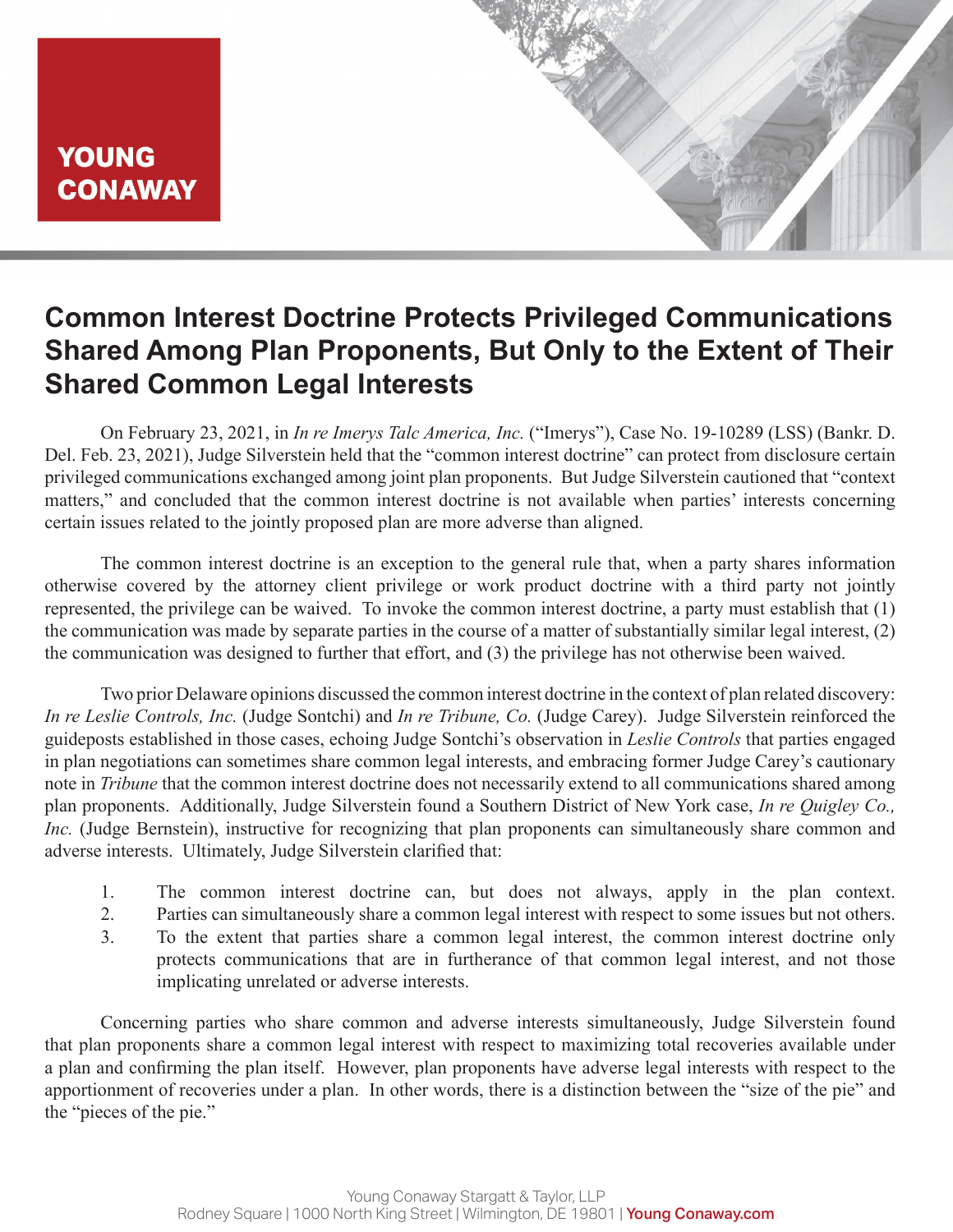

## **Common Interest Doctrine Protects Privileged Communications Shared Among Plan Proponents, But Only to the Extent of Their Shared Common Legal Interests**

On February 23, 2021, in *In re Imerys Talc America, Inc.* ("Imerys"), Case No. 19-10289 (LSS) (Bankr. D. Del. Feb. 23, 2021), Judge Silverstein held that the "common interest doctrine" can protect from disclosure certain privileged communications exchanged among joint plan proponents. But Judge Silverstein cautioned that "context matters," and concluded that the common interest doctrine is not available when parties' interests concerning certain issues related to the jointly proposed plan are more adverse than aligned.

The common interest doctrine is an exception to the general rule that, when a party shares information otherwise covered by the attorney client privilege or work product doctrine with a third party not jointly represented, the privilege can be waived. To invoke the common interest doctrine, a party must establish that (1) the communication was made by separate parties in the course of a matter of substantially similar legal interest, (2) the communication was designed to further that effort, and (3) the privilege has not otherwise been waived.

Two prior Delaware opinions discussed the common interest doctrine in the context of plan related discovery: *In re Leslie Controls, Inc.* (Judge Sontchi) and *In re Tribune, Co.* (Judge Carey). Judge Silverstein reinforced the guideposts established in those cases, echoing Judge Sontchi's observation in *Leslie Controls* that parties engaged in plan negotiations can sometimes share common legal interests, and embracing former Judge Carey's cautionary note in *Tribune* that the common interest doctrine does not necessarily extend to all communications shared among plan proponents. Additionally, Judge Silverstein found a Southern District of New York case, *In re Quigley Co., Inc.* (Judge Bernstein), instructive for recognizing that plan proponents can simultaneously share common and adverse interests. Ultimately, Judge Silverstein clarified that:

- 1. The common interest doctrine can, but does not always, apply in the plan context.
- 2. Parties can simultaneously share a common legal interest with respect to some issues but not others.
- 3. To the extent that parties share a common legal interest, the common interest doctrine only protects communications that are in furtherance of that common legal interest, and not those implicating unrelated or adverse interests.

Concerning parties who share common and adverse interests simultaneously, Judge Silverstein found that plan proponents share a common legal interest with respect to maximizing total recoveries available under a plan and confirming the plan itself. However, plan proponents have adverse legal interests with respect to the apportionment of recoveries under a plan. In other words, there is a distinction between the "size of the pie" and the "pieces of the pie."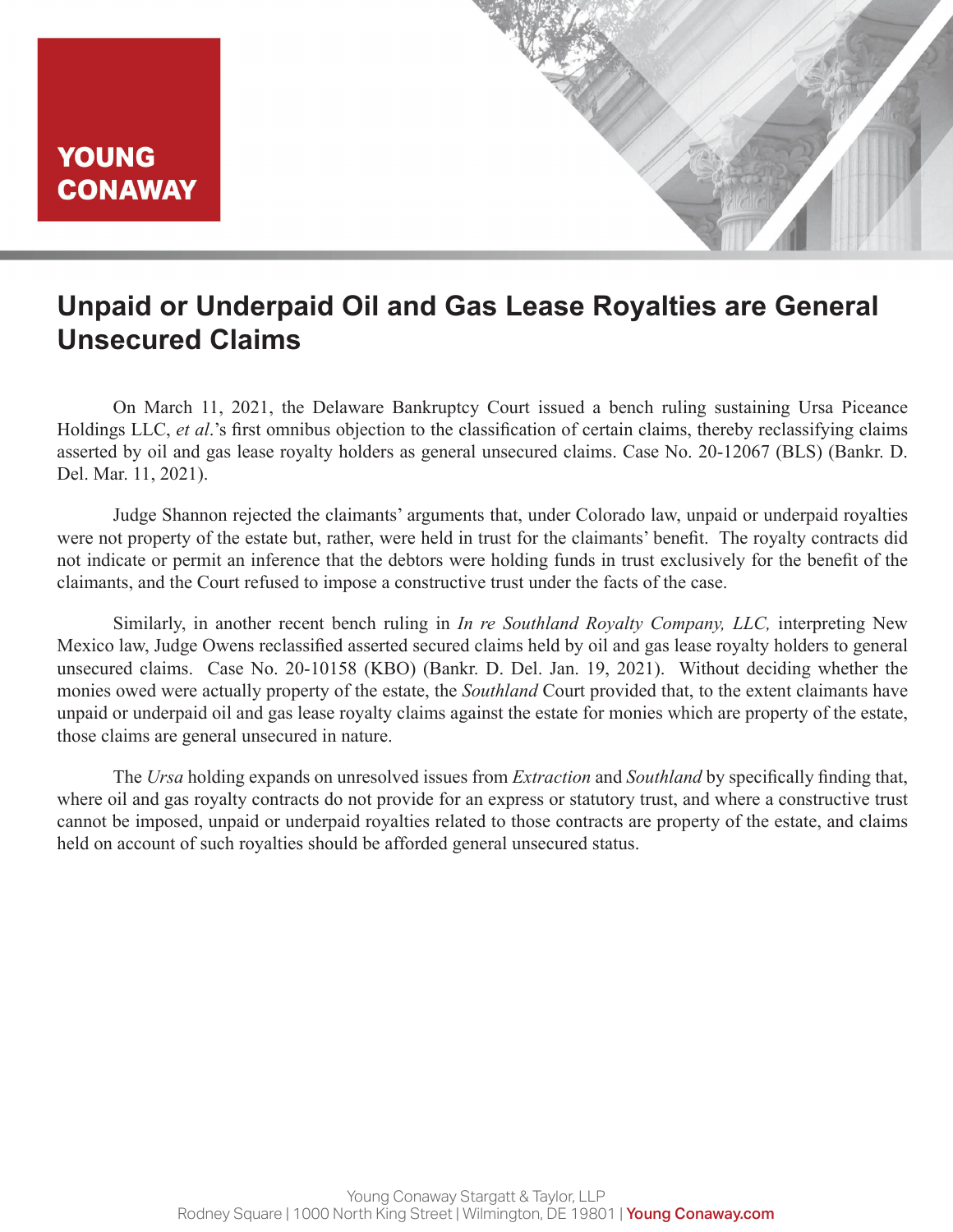

# **Unpaid or Underpaid Oil and Gas Lease Royalties are General Unsecured Claims**

On March 11, 2021, the Delaware Bankruptcy Court issued a bench ruling sustaining Ursa Piceance Holdings LLC, *et al*.'s first omnibus objection to the classification of certain claims, thereby reclassifying claims asserted by oil and gas lease royalty holders as general unsecured claims. Case No. 20-12067 (BLS) (Bankr. D. Del. Mar. 11, 2021).

Judge Shannon rejected the claimants' arguments that, under Colorado law, unpaid or underpaid royalties were not property of the estate but, rather, were held in trust for the claimants' benefit. The royalty contracts did not indicate or permit an inference that the debtors were holding funds in trust exclusively for the benefit of the claimants, and the Court refused to impose a constructive trust under the facts of the case.

Similarly, in another recent bench ruling in *In re Southland Royalty Company, LLC,* interpreting New Mexico law, Judge Owens reclassified asserted secured claims held by oil and gas lease royalty holders to general unsecured claims. Case No. 20-10158 (KBO) (Bankr. D. Del. Jan. 19, 2021). Without deciding whether the monies owed were actually property of the estate, the *Southland* Court provided that, to the extent claimants have unpaid or underpaid oil and gas lease royalty claims against the estate for monies which are property of the estate, those claims are general unsecured in nature.

The *Ursa* holding expands on unresolved issues from *Extraction* and *Southland* by specifically finding that, where oil and gas royalty contracts do not provide for an express or statutory trust, and where a constructive trust cannot be imposed, unpaid or underpaid royalties related to those contracts are property of the estate, and claims held on account of such royalties should be afforded general unsecured status.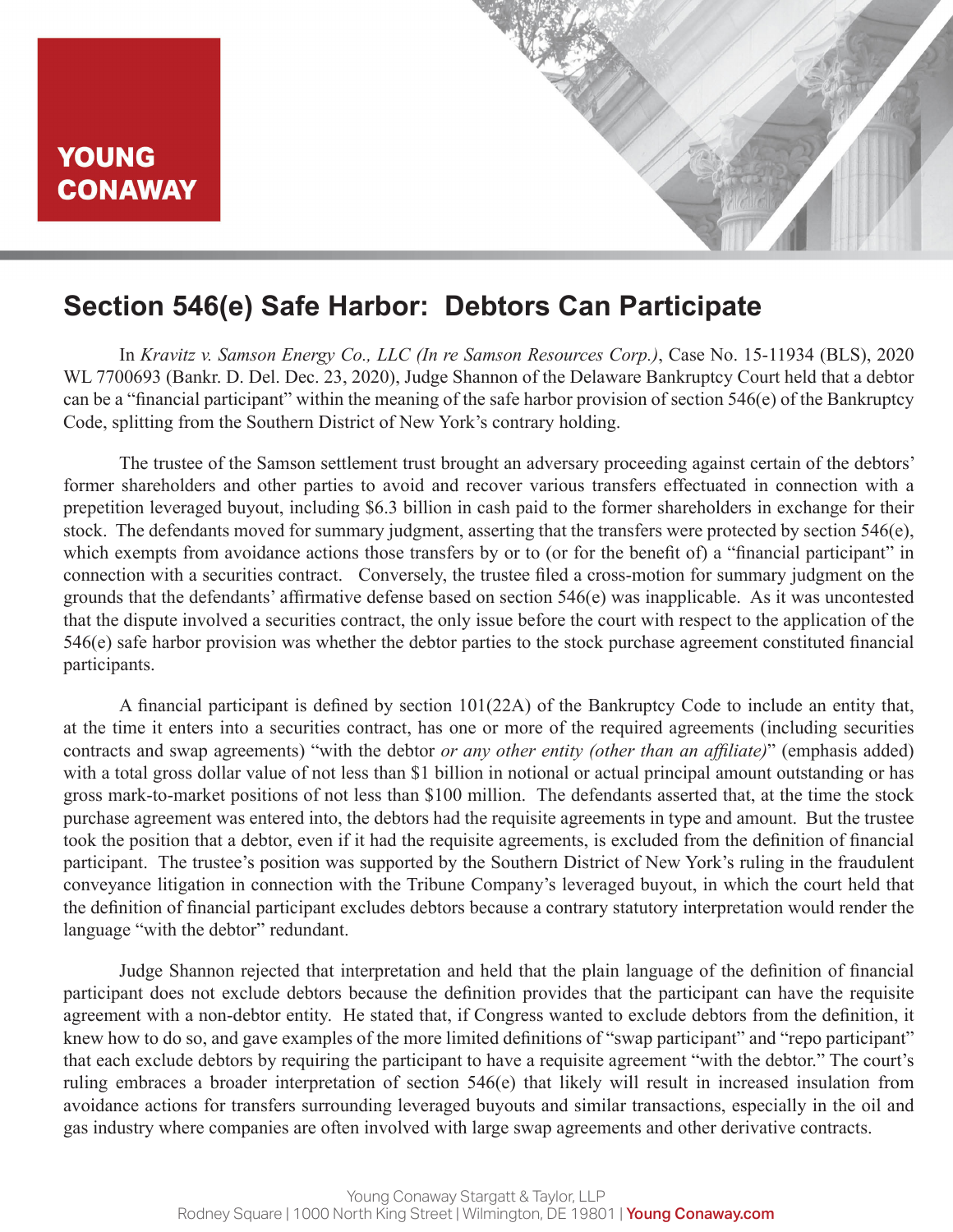# **Section 546(e) Safe Harbor: Debtors Can Participate**

In *Kravitz v. Samson Energy Co., LLC (In re Samson Resources Corp.)*, Case No. 15-11934 (BLS), 2020 WL 7700693 (Bankr. D. Del. Dec. 23, 2020), Judge Shannon of the Delaware Bankruptcy Court held that a debtor can be a "financial participant" within the meaning of the safe harbor provision of section 546(e) of the Bankruptcy Code, splitting from the Southern District of New York's contrary holding.

The trustee of the Samson settlement trust brought an adversary proceeding against certain of the debtors' former shareholders and other parties to avoid and recover various transfers effectuated in connection with a prepetition leveraged buyout, including \$6.3 billion in cash paid to the former shareholders in exchange for their stock. The defendants moved for summary judgment, asserting that the transfers were protected by section 546(e), which exempts from avoidance actions those transfers by or to (or for the benefit of) a "financial participant" in connection with a securities contract. Conversely, the trustee filed a cross-motion for summary judgment on the grounds that the defendants' affirmative defense based on section 546(e) was inapplicable. As it was uncontested that the dispute involved a securities contract, the only issue before the court with respect to the application of the 546(e) safe harbor provision was whether the debtor parties to the stock purchase agreement constituted financial participants.

A financial participant is defined by section 101(22A) of the Bankruptcy Code to include an entity that, at the time it enters into a securities contract, has one or more of the required agreements (including securities contracts and swap agreements) "with the debtor *or any other entity (other than an affiliate)*" (emphasis added) with a total gross dollar value of not less than \$1 billion in notional or actual principal amount outstanding or has gross mark-to-market positions of not less than \$100 million. The defendants asserted that, at the time the stock purchase agreement was entered into, the debtors had the requisite agreements in type and amount. But the trustee took the position that a debtor, even if it had the requisite agreements, is excluded from the definition of financial participant. The trustee's position was supported by the Southern District of New York's ruling in the fraudulent conveyance litigation in connection with the Tribune Company's leveraged buyout, in which the court held that the definition of financial participant excludes debtors because a contrary statutory interpretation would render the language "with the debtor" redundant.

Judge Shannon rejected that interpretation and held that the plain language of the definition of financial participant does not exclude debtors because the definition provides that the participant can have the requisite agreement with a non-debtor entity. He stated that, if Congress wanted to exclude debtors from the definition, it knew how to do so, and gave examples of the more limited definitions of "swap participant" and "repo participant" that each exclude debtors by requiring the participant to have a requisite agreement "with the debtor." The court's ruling embraces a broader interpretation of section 546(e) that likely will result in increased insulation from avoidance actions for transfers surrounding leveraged buyouts and similar transactions, especially in the oil and gas industry where companies are often involved with large swap agreements and other derivative contracts.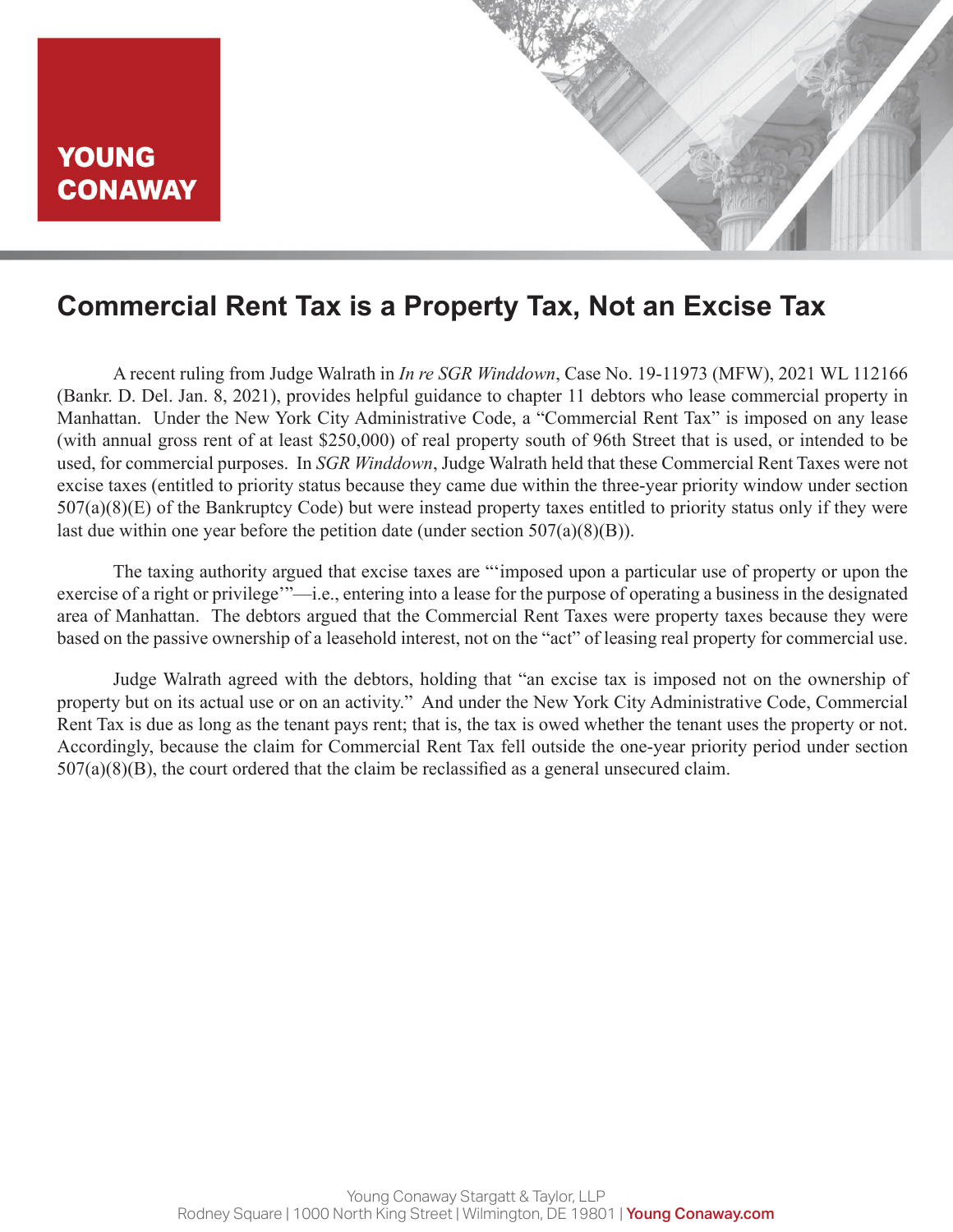

### **Commercial Rent Tax is a Property Tax, Not an Excise Tax**

A recent ruling from Judge Walrath in *In re SGR Winddown*, Case No. 19-11973 (MFW), 2021 WL 112166 (Bankr. D. Del. Jan. 8, 2021), provides helpful guidance to chapter 11 debtors who lease commercial property in Manhattan. Under the New York City Administrative Code, a "Commercial Rent Tax" is imposed on any lease (with annual gross rent of at least \$250,000) of real property south of 96th Street that is used, or intended to be used, for commercial purposes. In *SGR Winddown*, Judge Walrath held that these Commercial Rent Taxes were not excise taxes (entitled to priority status because they came due within the three-year priority window under section 507(a)(8)(E) of the Bankruptcy Code) but were instead property taxes entitled to priority status only if they were last due within one year before the petition date (under section  $507(a)(8)(B)$ ).

The taxing authority argued that excise taxes are "'imposed upon a particular use of property or upon the exercise of a right or privilege'"—i.e., entering into a lease for the purpose of operating a business in the designated area of Manhattan. The debtors argued that the Commercial Rent Taxes were property taxes because they were based on the passive ownership of a leasehold interest, not on the "act" of leasing real property for commercial use.

Judge Walrath agreed with the debtors, holding that "an excise tax is imposed not on the ownership of property but on its actual use or on an activity." And under the New York City Administrative Code, Commercial Rent Tax is due as long as the tenant pays rent; that is, the tax is owed whether the tenant uses the property or not. Accordingly, because the claim for Commercial Rent Tax fell outside the one-year priority period under section  $507(a)(8)(B)$ , the court ordered that the claim be reclassified as a general unsecured claim.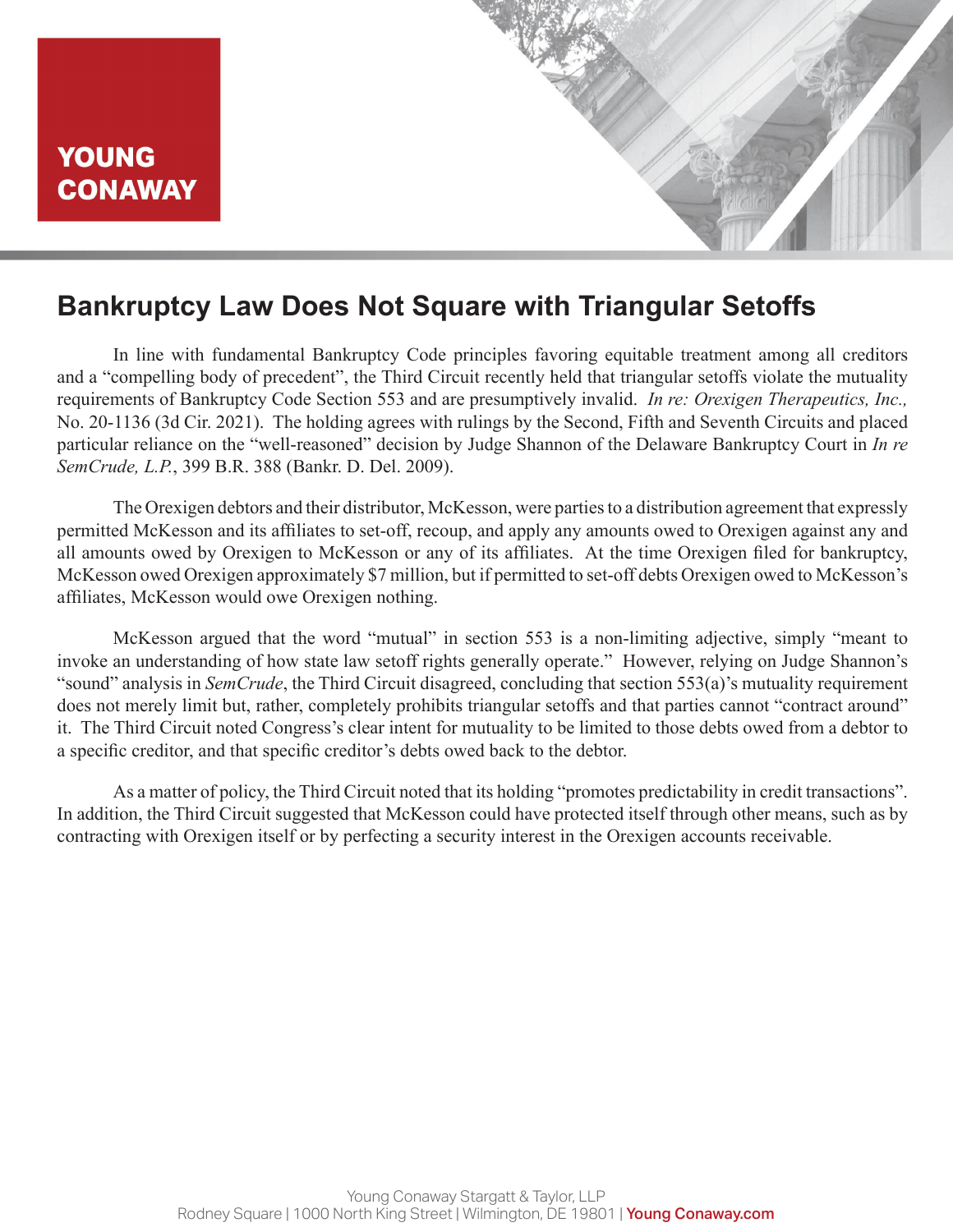# **Bankruptcy Law Does Not Square with Triangular Setoffs**

In line with fundamental Bankruptcy Code principles favoring equitable treatment among all creditors and a "compelling body of precedent", the Third Circuit recently held that triangular setoffs violate the mutuality requirements of Bankruptcy Code Section 553 and are presumptively invalid. *In re: Orexigen Therapeutics, Inc.,* No. 20-1136 (3d Cir. 2021). The holding agrees with rulings by the Second, Fifth and Seventh Circuits and placed particular reliance on the "well-reasoned" decision by Judge Shannon of the Delaware Bankruptcy Court in *In re SemCrude, L.P.*, 399 B.R. 388 (Bankr. D. Del. 2009).

The Orexigen debtors and their distributor, McKesson, were parties to a distribution agreement that expressly permitted McKesson and its affiliates to set-off, recoup, and apply any amounts owed to Orexigen against any and all amounts owed by Orexigen to McKesson or any of its affiliates. At the time Orexigen filed for bankruptcy, McKesson owed Orexigen approximately \$7 million, but if permitted to set-off debts Orexigen owed to McKesson's affiliates, McKesson would owe Orexigen nothing.

McKesson argued that the word "mutual" in section 553 is a non-limiting adjective, simply "meant to invoke an understanding of how state law setoff rights generally operate." However, relying on Judge Shannon's "sound" analysis in *SemCrude*, the Third Circuit disagreed, concluding that section 553(a)'s mutuality requirement does not merely limit but, rather, completely prohibits triangular setoffs and that parties cannot "contract around" it. The Third Circuit noted Congress's clear intent for mutuality to be limited to those debts owed from a debtor to a specific creditor, and that specific creditor's debts owed back to the debtor.

As a matter of policy, the Third Circuit noted that its holding "promotes predictability in credit transactions". In addition, the Third Circuit suggested that McKesson could have protected itself through other means, such as by contracting with Orexigen itself or by perfecting a security interest in the Orexigen accounts receivable.